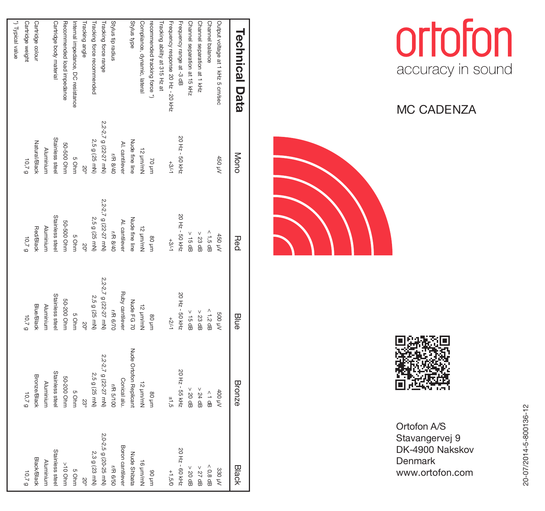

MC CADENZA





Ortofon A/S Stavangervej 9 DK-4900 Nakskov **Denmark** www.ortofon.com

| <b>Technical Data</b>             | Mono                 | Red                  | Blue                 | Bronze                      | Black                |
|-----------------------------------|----------------------|----------------------|----------------------|-----------------------------|----------------------|
| Output voltage at 1 kHz 5 cm/sec  | 450 pV               | AN 097               | Art 00S              | Art 00t                     | 330 MV               |
| Channel balance                   |                      | $< 1.5$ dB           | $< 1.2$ dB           | $\frac{1}{1}$               | $< 0.8$ dB           |
| Channel separation at 1 kHz       |                      | $>$ 23 dB            | $> 23$ dB            | $>24$ dB                    | $> 27$ dB            |
| Channel separation at 15 kHz      |                      | $\geq$ 15 dB         | $\frac{15}{15}$ dB   | $>$ 20 dB                   | $>$ 20 dB            |
| Frequency range at -3 dB          | 20 Hz - 50 kHz       | 20 Hz - 50 KHz       | 20 Hz - 50 kHz       | 20 Hz - 55 kHz              | 20 Hz - 60 KHz       |
| Frequency response 20 Hz - 20 kHz | $+3/-1$              | $+3/1$               | $+2/1$               | $\frac{1}{2}$ $\frac{1}{2}$ | $+1,5/0$             |
| Tracking ability at 315 Hz at     |                      |                      |                      |                             |                      |
| recommended tracking force *)     | uurl 02              | uuri 08              | uurt 08              | uurt 08                     | uurt 06              |
| Compliance, dynamic, lateral      | Nuyuuri 21           | Nuyuri 21            | 12 um/mN             | 12 pm/mN                    | 16 um/mN             |
| Btylus type                       | Nude fine line       | Nude fine line       | Nude FG 70           | Nude Ortofon Replicant      | Nude Shibata         |
|                                   | AI. cantilever       | Al. cantilever       | Ruby cantilever      | Conical alu.                | Boron cantilever     |
| Stylus tip radus                  | <b>UR 8/40</b>       | <b>L/R 8/40</b>      | r/R 6/70             | UP 5/100                    | <b>L/R 6/50</b>      |
| Tracking force range              | 2,2-2,7 g (22-27 mN) | 2,2-2,7 g (22-27 mN) | 2,2-2,7 g (22-27 mN) | 2,2-2,7 g (22-27 mN)        | 2,0-2,5 g (20-25 mN) |
| Tracking force recommended        | 2,5 g (25 mN)        | 2,5 g (25 mN)        | 2,5 g (25 mN)        | 2,5 g (25 mN)               | 2,3 g (23 mN)        |
| Tracking angle                    | 20°                  | 20°                  | 50 <sub>o</sub>      | 23°                         | 20°                  |
| Internal impedance, DC resistance | 5 Ohm                | 5 Ohm                | 5 Ohm                | 5 Ohm                       | 5 Ohm                |
| Recommended load impedance        | mnO 008-08           | mnO 008-08           | 50-200 Ohm           | 50-200 Ohm                  | mnO 01<              |
| Cartridge body material           | Stainless steel      | Stainless steel      | Stainless steel      | Stainless steel             | Stainless steel      |
|                                   | Aluminium            | Aluminium            | Aluminium            | Aluminium                   | Aluminium            |
| Cartridge colour                  | Natural/Black        | Red/Black            | Blue/Black           | Bronze/Black                | Black/Black          |
| Cartridge weight                  | 10,79                | 10,79                | 10,79                | 10,7 g                      | 10,79                |
| *) Typical value                  |                      |                      |                      |                             |                      |